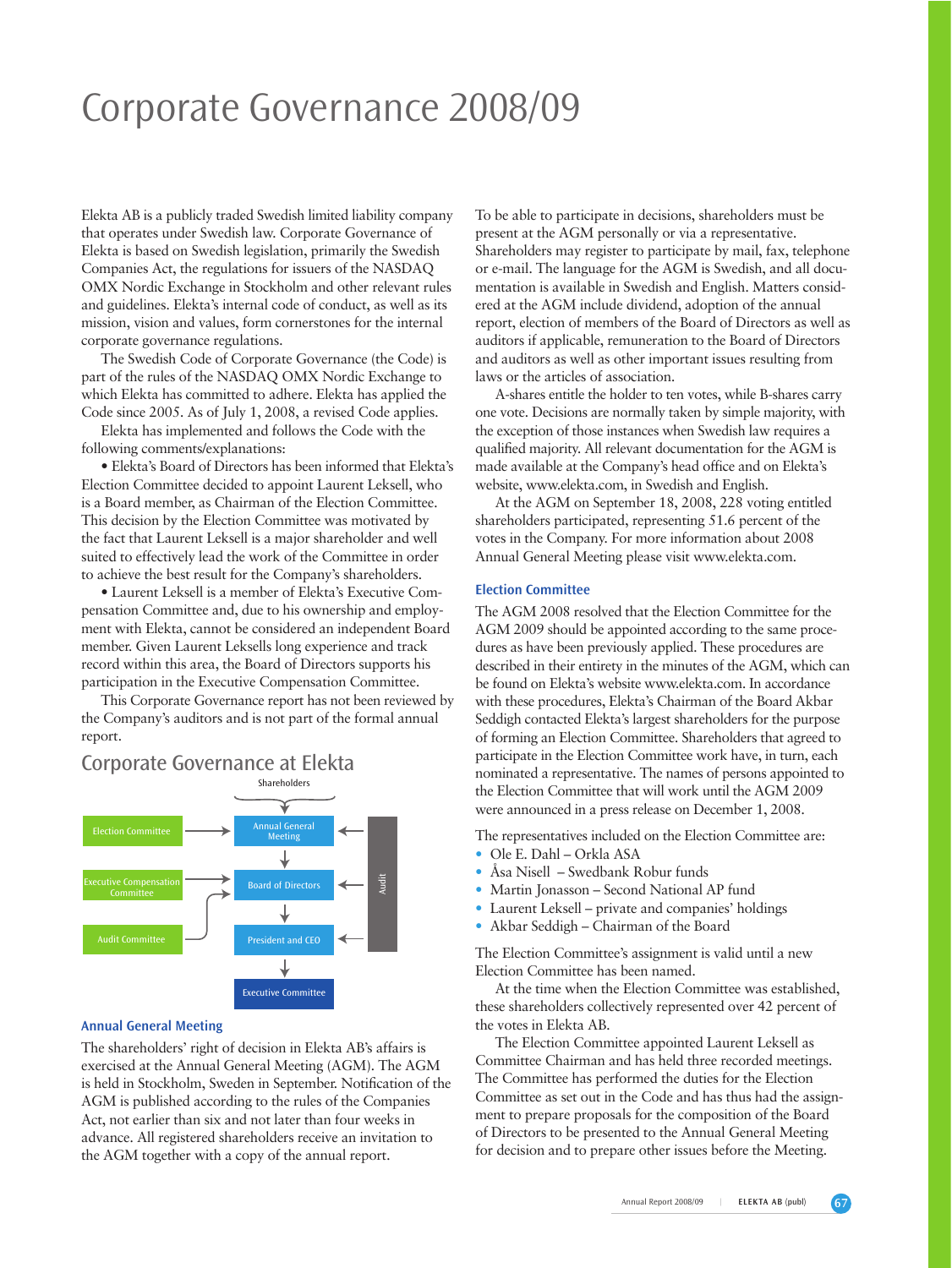# Corporate Governance 2008/09

Elekta AB is a publicly traded Swedish limited liability company that operates under Swedish law. Corporate Governance of Elekta is based on Swedish legislation, primarily the Swedish Companies Act, the regulations for issuers of the NASDAQ OMX Nordic Exchange in Stockholm and other relevant rules and guidelines. Elekta's internal code of conduct, as well as its mission, vision and values, form cornerstones for the internal corporate governance regulations.

The Swedish Code of Corporate Governance (the Code) is part of the rules of the NASDAQ OMX Nordic Exchange to which Elekta has committed to adhere. Elekta has applied the Code since 2005. As of July 1, 2008, a revised Code applies.

Elekta has implemented and follows the Code with the following comments/explanations:

• Elekta's Board of Directors has been informed that Elekta's Election Committee decided to appoint Laurent Leksell, who is a Board member, as Chairman of the Election Committee. This decision by the Election Committee was motivated by the fact that Laurent Leksell is a major shareholder and well suited to effectively lead the work of the Committee in order to achieve the best result for the Company's shareholders.

• Laurent Leksell is a member of Elekta's Executive Compensation Committee and, due to his ownership and employment with Elekta, cannot be considered an independent Board member. Given Laurent Leksells long experience and track record within this area, the Board of Directors supports his participation in the Executive Compensation Committee.

This Corporate Governance report has not been reviewed by the Company's auditors and is not part of the formal annual report.

## Corporate Governance at Elekta



#### **Annual General Meeting**

The shareholders' right of decision in Elekta AB's affairs is exercised at the Annual General Meeting (AGM). The AGM is held in Stockholm, Sweden in September. Notification of the AGM is published according to the rules of the Companies Act, not earlier than six and not later than four weeks in advance. All registered shareholders receive an invitation to the AGM together with a copy of the annual report.

To be able to participate in decisions, shareholders must be present at the AGM personally or via a representative. Shareholders may register to participate by mail, fax, telephone or e-mail. The language for the AGM is Swedish, and all documentation is available in Swedish and English. Matters considered at the AGM include dividend, adoption of the annual report, election of members of the Board of Directors as well as auditors if applicable, remuneration to the Board of Directors and auditors as well as other important issues resulting from laws or the articles of association.

A-shares entitle the holder to ten votes, while B-shares carry one vote. Decisions are normally taken by simple majority, with the exception of those instances when Swedish law requires a qualified majority. All relevant documentation for the AGM is made available at the Company's head office and on Elekta's website, www.elekta.com, in Swedish and English.

At the AGM on September 18, 2008, 228 voting entitled shareholders participated, representing 51.6 percent of the votes in the Company. For more information about 2008 Annual General Meeting please visit www.elekta.com.

### **Election Committee**

The AGM 2008 resolved that the Election Committee for the AGM 2009 should be appointed according to the same procedures as have been previously applied. These procedures are described in their entirety in the minutes of the AGM, which can be found on Elekta's website www.elekta.com. In accordance with these procedures, Elekta's Chairman of the Board Akbar Seddigh contacted Elekta's largest shareholders for the purpose of forming an Election Committee. Shareholders that agreed to participate in the Election Committee work have, in turn, each nominated a representative. The names of persons appointed to the Election Committee that will work until the AGM 2009 were announced in a press release on December 1, 2008.

The representatives included on the Election Committee are:

- Ole E. Dahl Orkla ASA
- Åsa Nisell Swedbank Robur funds
- Martin Jonasson Second National AP fund
- Laurent Leksell private and companies' holdings
- Akbar Seddigh Chairman of the Board

The Election Committee's assignment is valid until a new Election Committee has been named.

At the time when the Election Committee was established, these shareholders collectively represented over 42 percent of the votes in Elekta AB.

The Election Committee appointed Laurent Leksell as Committee Chairman and has held three recorded meetings. The Committee has performed the duties for the Election Committee as set out in the Code and has thus had the assignment to prepare proposals for the composition of the Board of Directors to be presented to the Annual General Meeting for decision and to prepare other issues before the Meeting.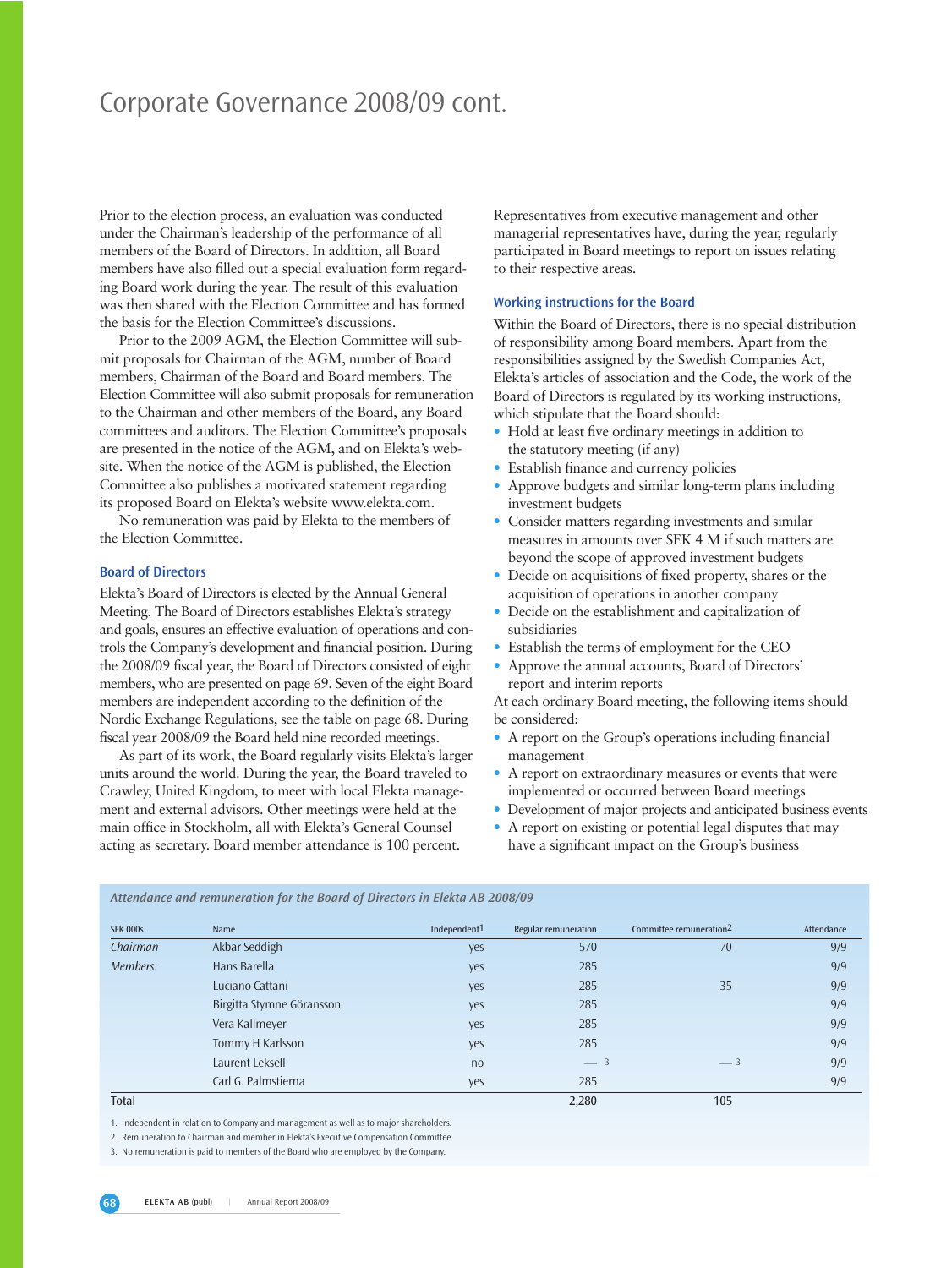## Corporate Governance 2008/09 cont.

Prior to the election process, an evaluation was conducted under the Chairman's leadership of the performance of all members of the Board of Directors. In addition, all Board members have also filled out a special evaluation form regarding Board work during the year. The result of this evaluation was then shared with the Election Committee and has formed the basis for the Election Committee's discussions.

Prior to the 2009 AGM, the Election Committee will submit proposals for Chairman of the AGM, number of Board members, Chairman of the Board and Board members. The Election Committee will also submit proposals for remuneration to the Chairman and other members of the Board, any Board committees and auditors. The Election Committee's proposals are presented in the notice of the AGM, and on Elekta's website. When the notice of the AGM is published, the Election Committee also publishes a motivated statement regarding its proposed Board on Elekta's website www.elekta.com.

No remuneration was paid by Elekta to the members of the Election Committee.

## **Board of Directors**

Elekta's Board of Directors is elected by the Annual General Meeting. The Board of Directors establishes Elekta's strategy and goals, ensures an effective evaluation of operations and controls the Company's development and financial position. During the 2008/09 fiscal year, the Board of Directors consisted of eight members, who are presented on page 69. Seven of the eight Board members are independent according to the definition of the Nordic Exchange Regulations, see the table on page 68. During fiscal year 2008/09 the Board held nine recorded meetings.

As part of its work, the Board regularly visits Elekta's larger units around the world. During the year, the Board traveled to Crawley, United Kingdom, to meet with local Elekta management and external advisors. Other meetings were held at the main office in Stockholm, all with Elekta's General Counsel acting as secretary. Board member attendance is 100 percent.

*Attendance and remuneration for the Board of Directors in Elekta AB 2008/09*

Representatives from executive management and other managerial representatives have, during the year, regularly participated in Board meetings to report on issues relating to their respective areas.

## **Working instructions for the Board**

Within the Board of Directors, there is no special distribution of responsibility among Board members. Apart from the responsibilities assigned by the Swedish Companies Act, Elekta's articles of association and the Code, the work of the Board of Directors is regulated by its working instructions, which stipulate that the Board should:

- Hold at least five ordinary meetings in addition to the statutory meeting (if any)
- Establish finance and currency policies
- Approve budgets and similar long-term plans including investment budgets
- Consider matters regarding investments and similar measures in amounts over SEK 4 M if such matters are beyond the scope of approved investment budgets
- Decide on acquisitions of fixed property, shares or the acquisition of operations in another company
- Decide on the establishment and capitalization of subsidiaries
- Establish the terms of employment for the CEO
- Approve the annual accounts, Board of Directors' report and interim reports

At each ordinary Board meeting, the following items should be considered:

- A report on the Group's operations including financial management
- A report on extraordinary measures or events that were implemented or occurred between Board meetings
- Development of major projects and anticipated business events
- A report on existing or potential legal disputes that may have a significant impact on the Group's business

| <b>SEK 000s</b> | Name                      | Independent <sup>1</sup> | <b>Regular remuneration</b> | Committee remuneration <sup>2</sup> | Attendance |
|-----------------|---------------------------|--------------------------|-----------------------------|-------------------------------------|------------|
| Chairman        | Akbar Seddigh             | yes                      | 570                         | 70                                  | 9/9        |
| Members:        | Hans Barella              | yes                      | 285                         |                                     | 9/9        |
|                 | Luciano Cattani           | yes                      | 285                         | 35                                  | 9/9        |
|                 | Birgitta Stymne Göransson | yes                      | 285                         |                                     | 9/9        |
|                 | Vera Kallmeyer            | yes                      | 285                         |                                     | 9/9        |
|                 | Tommy H Karlsson          | yes                      | 285                         |                                     | 9/9        |
|                 | Laurent Leksell           | no                       | $-3$                        | $-3$                                | 9/9        |
|                 | Carl G. Palmstierna       | yes                      | 285                         |                                     | 9/9        |
| Total           |                           |                          | 2,280                       | 105                                 |            |

1. Independent in relation to Company and management as well as to major shareholders.

2. Remuneration to Chairman and member in Elekta's Executive Compensation Committee.

<sup>3.</sup> No remuneration is paid to members of the Board who are employed by the Company.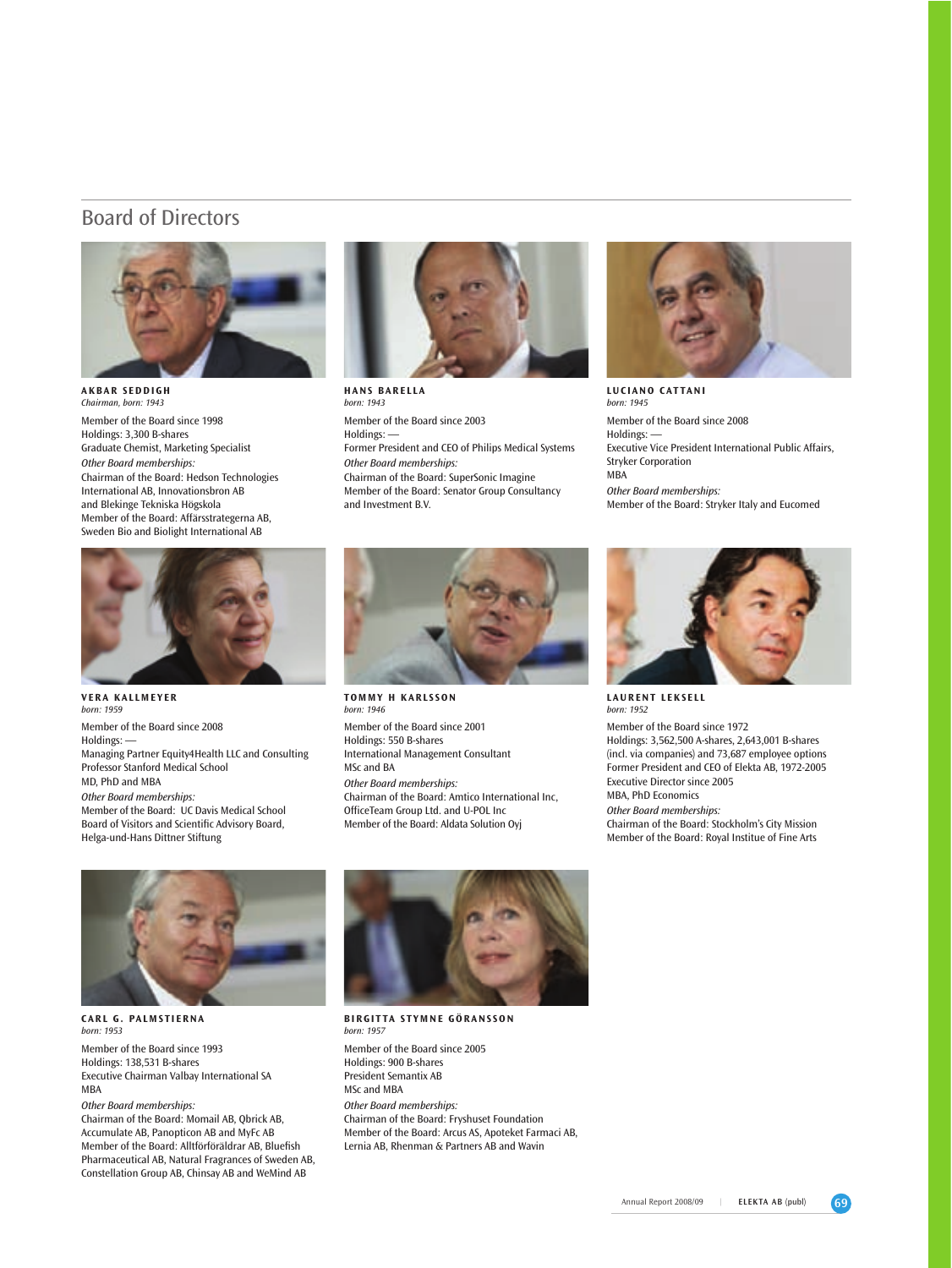## Board of Directors



**AKBAR SEDDIGH** *Chairman, born: 1943* Member of the Board since 1998 Holdings: 3,300 B-shares Graduate Chemist, Marketing Specialist *Other Board memberships:* Chairman of the Board: Hedson Technologies International AB, Innovationsbron AB and Blekinge Tekniska Högskola Member of the Board: Affärsstrategerna AB, Sweden Bio and Biolight International AB



**HANS BARELLA** *born: 1943* Member of the Board since 2003 Holdings: -Former President and CEO of Philips Medical Systems *Other Board memberships:* Chairman of the Board: SuperSonic Imagine Member of the Board: Senator Group Consultancy and Investment B.V.



**LUCIANO CATTANI** *born: 1945*  Member of the Board since 2008 Holdings: -Executive Vice President International Public Affairs, Stryker Corporation MBA *Other Board memberships:* Member of the Board: Stryker Italy and Eucomed



**VERA KALLMEYER** *born: 1959*  Member of the Board since 2008 Holdings: -Managing Partner Equity4Health LLC and Consulting Professor Stanford Medical School MD, PhD and MBA *Other Board memberships:* Member of the Board: UC Davis Medical School Board of Visitors and Scientific Advisory Board, Helga-und-Hans Dittner Stiftung



*born: 1946* Member of the Board since 2001 Holdings: 550 B-shares International Management Consultant MSc and BA *Other Board memberships:* Chairman of the Board: Amtico International Inc, OfficeTeam Group Ltd. and U-POL Inc Member of the Board: Aldata Solution Oyj



**LAURENT LEKSELL** *born: 1952* 

Member of the Board since 1972 Holdings: 3,562,500 A-shares, 2,643,001 B-shares (incl. via companies) and 73,687 employee options Former President and CEO of Elekta AB, 1972-2005 Executive Director since 2005 MBA, PhD Economics *Other Board memberships:*

Chairman of the Board: Stockholm's City Mission Member of the Board: Royal Institue of Fine Arts



**CARL G. PALMSTIERNA** *born: 1953*  Member of the Board since 1993 Holdings: 138,531 B-shares Executive Chairman Valbay International SA MBA

*Other Board memberships:* Chairman of the Board: Momail AB, Qbrick AB, Accumulate AB, Panopticon AB and MyFc AB Member of the Board: Alltförföräldrar AB, Bluefish Pharmaceutical AB, Natural Fragrances of Sweden AB, Constellation Group AB, Chinsay AB and WeMind AB



**BIRGITTA STYMNE GÖRANSSON** *born:* 1957 Member of the Board since 2005 Holdings: 900 B-shares President Semantix AB MSc and MBA *Other Board memberships:* Chairman of the Board: Fryshuset Foundation Member of the Board: Arcus AS, Apoteket Farmaci AB, Lernia AB, Rhenman & Partners AB and Wavin

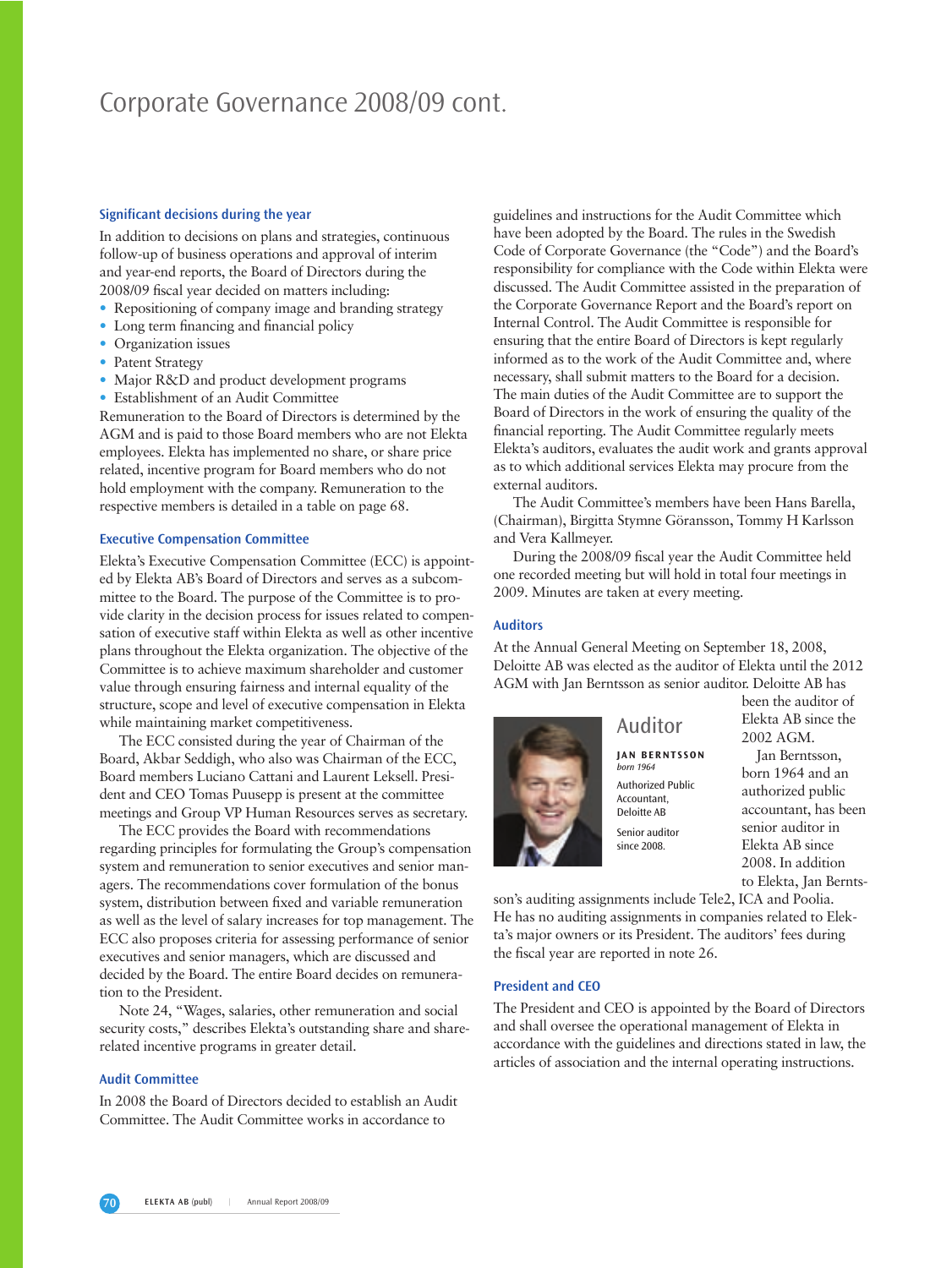## Corporate Governance 2008/09 cont.

## **Significant decisions during the year**

In addition to decisions on plans and strategies, continuous follow-up of business operations and approval of interim and year-end reports, the Board of Directors during the 2008/09 fiscal year decided on matters including:

- Repositioning of company image and branding strategy
- Long term financing and financial policy
- Organization issues
- Patent Strategy
- Major R&D and product development programs
- Establishment of an Audit Committee

Remuneration to the Board of Directors is determined by the AGM and is paid to those Board members who are not Elekta employees. Elekta has implemented no share, or share price related, incentive program for Board members who do not hold employment with the company. Remuneration to the respective members is detailed in a table on page 68.

### **Executive Compensation Committee**

Elekta's Executive Compensation Committee (ECC) is appointed by Elekta AB's Board of Directors and serves as a subcommittee to the Board. The purpose of the Committee is to provide clarity in the decision process for issues related to compensation of executive staff within Elekta as well as other incentive plans throughout the Elekta organization. The objective of the Committee is to achieve maximum shareholder and customer value through ensuring fairness and internal equality of the structure, scope and level of executive compensation in Elekta while maintaining market competitiveness.

The ECC consisted during the year of Chairman of the Board, Akbar Seddigh, who also was Chairman of the ECC, Board members Luciano Cattani and Laurent Leksell. President and CEO Tomas Puusepp is present at the committee meetings and Group VP Human Resources serves as secretary.

The ECC provides the Board with recommendations regarding principles for formulating the Group's compensation system and remuneration to senior executives and senior managers. The recommendations cover formulation of the bonus system, distribution between fixed and variable remuneration as well as the level of salary increases for top management. The ECC also proposes criteria for assessing performance of senior executives and senior managers, which are discussed and decided by the Board. The entire Board decides on remuneration to the President.

Note 24, "Wages, salaries, other remuneration and social security costs," describes Elekta's outstanding share and sharerelated incentive programs in greater detail.

### **Audit Committee**

In 2008 the Board of Directors decided to establish an Audit Committee. The Audit Committee works in accordance to

guidelines and instructions for the Audit Committee which have been adopted by the Board. The rules in the Swedish Code of Corporate Governance (the "Code") and the Board's responsibility for compliance with the Code within Elekta were discussed. The Audit Committee assisted in the preparation of the Corporate Governance Report and the Board's report on Internal Control. The Audit Committee is responsible for ensuring that the entire Board of Directors is kept regularly informed as to the work of the Audit Committee and, where necessary, shall submit matters to the Board for a decision. The main duties of the Audit Committee are to support the Board of Directors in the work of ensuring the quality of the financial reporting. The Audit Committee regularly meets Elekta's auditors, evaluates the audit work and grants approval as to which additional services Elekta may procure from the external auditors.

The Audit Committee's members have been Hans Barella, (Chairman), Birgitta Stymne Göransson, Tommy H Karlsson and Vera Kallmeyer.

During the 2008/09 fiscal year the Audit Committee held one recorded meeting but will hold in total four meetings in 2009. Minutes are taken at every meeting.

#### **Auditors**

At the Annual General Meeting on September 18, 2008, Deloitte AB was elected as the auditor of Elekta until the 2012 AGM with Jan Berntsson as senior auditor. Deloitte AB has



**JAN BERNTSSON** *born 1964* Authorized Public Accountant, Deloitte AB Senior auditor since 2008.

been the auditor of Elekta AB since the 2002 AGM.

Jan Berntsson, born 1964 and an authorized public accountant, has been senior auditor in Elekta AB since 2008. In addition to Elekta, Jan Bernts-

son's auditing assignments include Tele2, ICA and Poolia. He has no auditing assignments in companies related to Elekta's major owners or its President. The auditors' fees during the fiscal year are reported in note 26.

#### **President and CEO**

The President and CEO is appointed by the Board of Directors and shall oversee the operational management of Elekta in accordance with the guidelines and directions stated in law, the articles of association and the internal operating instructions.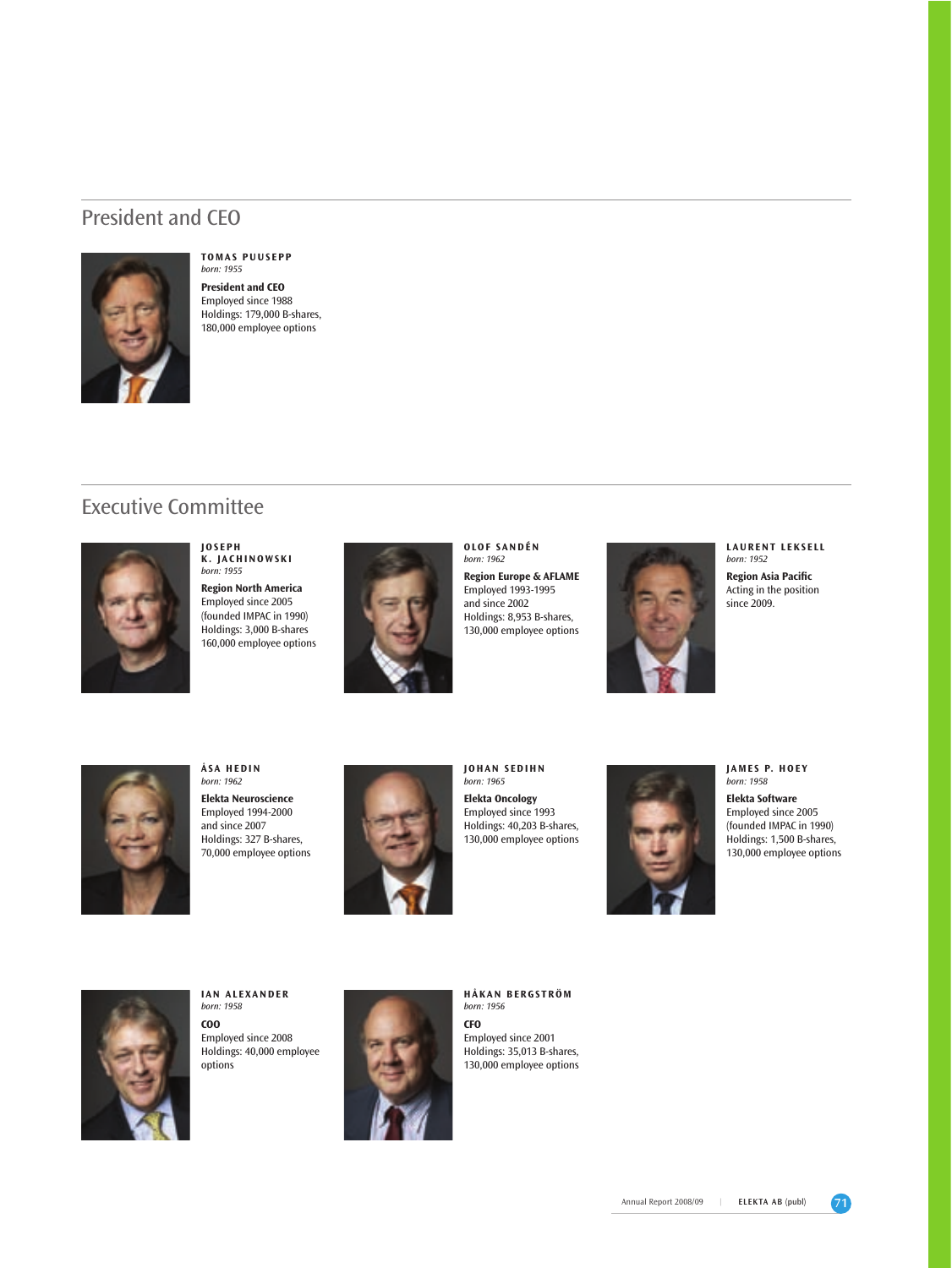## President and CEO



#### **TOMAS PUUSEPP** *born: 1955*

**President and CEO**  Employed since 1988 Holdings: 179,000 B-shares, 180,000 employee options

## Executive Committee



**JOSEPH K. JACHINOWSKI** *born: 1955*

**Region North America** Employed since 2005 (founded IMPAC in 1990) Holdings: 3,000 B-shares 160,000 employee options



**OLOF SANDÉN** *born: 1962*

**Region Europe & AFLAME**  Employed 1993-1995 and since 2002 Holdings: 8,953 B-shares, 130,000 employee options



**LAURENT LEKSELL** *born: 1952*

**Region Asia Pacific** Acting in the position since 2009.



**ÅSA HEDIN** *born: 1962* **Elekta Neuroscience** Employed 1994-2000 and since 2007 Holdings: 327 B-shares, 70,000 employee options



**JOHAN SEDIHN** *born: 1965* **Elekta Oncology**  Employed since 1993 Holdings: 40,203 B-shares, 130,000 employee options



**JAMES P. HOEY**  *born: 1958*

**Elekta Software**  Employed since 2005 (founded IMPAC in 1990) Holdings: 1,500 B-shares, 130,000 employee options



**IAN ALEXANDER** *born: 1958* **COO** Employed since 2008 Holdings: 40,000 employee options



**HÅKAN BERGSTRÖM** *born: 1956* **CFO**

Employed since 2001 Holdings: 35,013 B-shares, 130,000 employee options

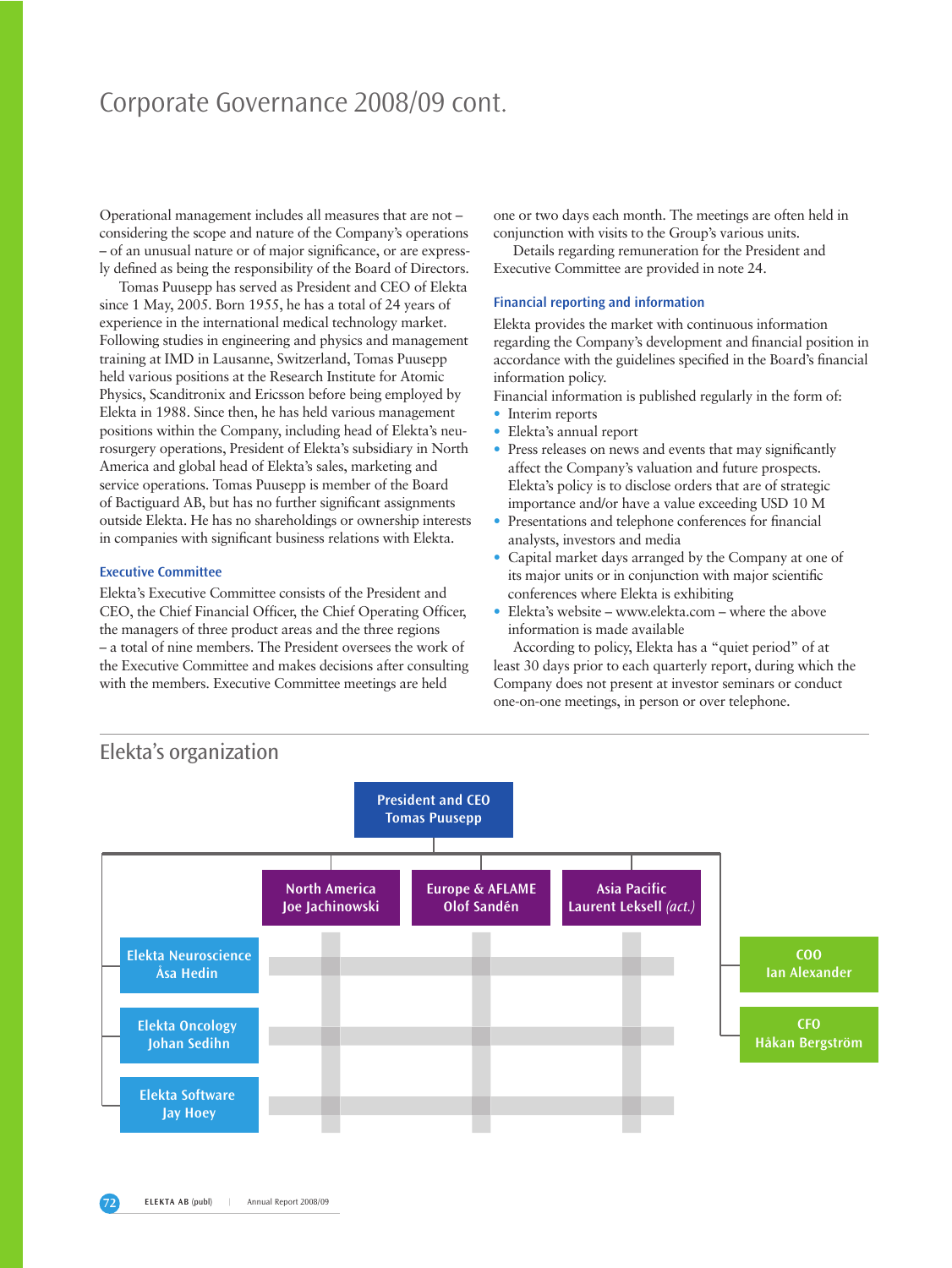## Corporate Governance 2008/09 cont.

Operational management includes all measures that are not – considering the scope and nature of the Company's operations – of an unusual nature or of major significance, or are expressly defined as being the responsibility of the Board of Directors.

Tomas Puusepp has served as President and CEO of Elekta since 1 May, 2005. Born 1955, he has a total of 24 years of experience in the international medical technology market. Following studies in engineering and physics and management training at IMD in Lausanne, Switzerland, Tomas Puusepp held various positions at the Research Institute for Atomic Physics, Scanditronix and Ericsson before being employed by Elekta in 1988. Since then, he has held various management positions within the Company, including head of Elekta's neurosurgery operations, President of Elekta's subsidiary in North America and global head of Elekta's sales, marketing and service operations. Tomas Puusepp is member of the Board of Bactiguard AB, but has no further significant assignments outside Elekta. He has no shareholdings or ownership interests in companies with significant business relations with Elekta.

## **Executive Committee**

Elekta's Executive Committee consists of the President and CEO, the Chief Financial Officer, the Chief Operating Officer, the managers of three product areas and the three regions – a total of nine members. The President oversees the work of the Executive Committee and makes decisions after consulting with the members. Executive Committee meetings are held

one or two days each month. The meetings are often held in conjunction with visits to the Group's various units.

Details regarding remuneration for the President and Executive Committee are provided in note 24.

### **Financial reporting and information**

Elekta provides the market with continuous information regarding the Company's development and financial position in accordance with the guidelines specified in the Board's financial information policy.

Financial information is published regularly in the form of:

- Interim reports
- Elekta's annual report
- Press releases on news and events that may significantly affect the Company's valuation and future prospects. Elekta's policy is to disclose orders that are of strategic importance and/or have a value exceeding USD 10 M
- Presentations and telephone conferences for financial analysts, investors and media
- Capital market days arranged by the Company at one of its major units or in conjunction with major scientific conferences where Elekta is exhibiting
- Elekta's website www.elekta.com where the above information is made available

According to policy, Elekta has a "quiet period" of at least 30 days prior to each quarterly report, during which the Company does not present at investor seminars or conduct one-on-one meetings, in person or over telephone.

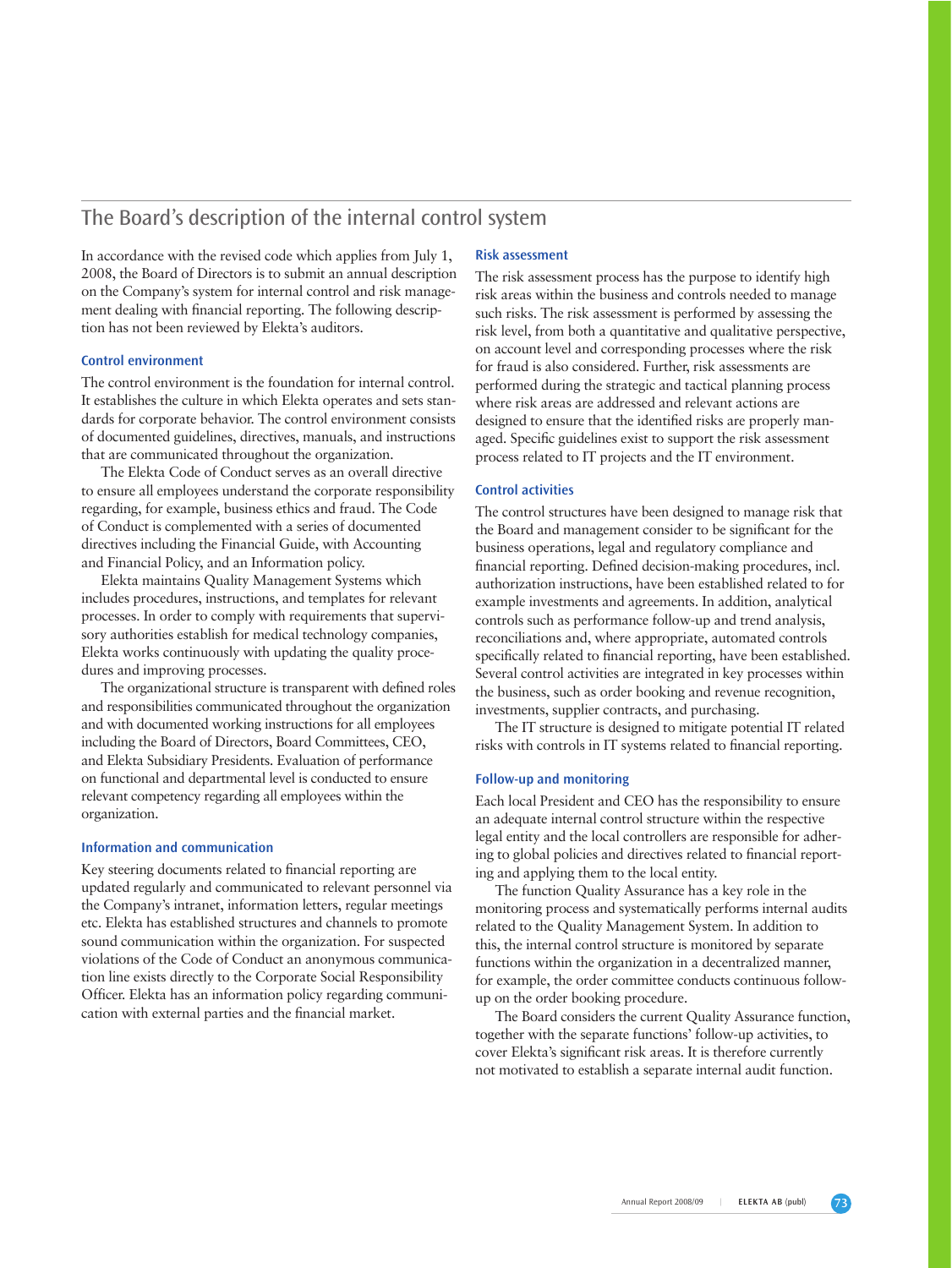## The Board's description of the internal control system

In accordance with the revised code which applies from July 1, 2008, the Board of Directors is to submit an annual description on the Company's system for internal control and risk management dealing with financial reporting. The following description has not been reviewed by Elekta's auditors.

## **Control environment**

The control environment is the foundation for internal control. It establishes the culture in which Elekta operates and sets standards for corporate behavior. The control environment consists of documented guidelines, directives, manuals, and instructions that are communicated throughout the organization.

The Elekta Code of Conduct serves as an overall directive to ensure all employees understand the corporate responsibility regarding, for example, business ethics and fraud. The Code of Conduct is complemented with a series of documented directives including the Financial Guide, with Accounting and Financial Policy, and an Information policy.

Elekta maintains Quality Management Systems which includes procedures, instructions, and templates for relevant processes. In order to comply with requirements that supervisory authorities establish for medical technology companies, Elekta works continuously with updating the quality procedures and improving processes.

The organizational structure is transparent with defined roles and responsibilities communicated throughout the organization and with documented working instructions for all employees including the Board of Directors, Board Committees, CEO, and Elekta Subsidiary Presidents. Evaluation of performance on functional and departmental level is conducted to ensure relevant competency regarding all employees within the organization.

## **Information and communication**

Key steering documents related to financial reporting are updated regularly and communicated to relevant personnel via the Company's intranet, information letters, regular meetings etc. Elekta has established structures and channels to promote sound communication within the organization. For suspected violations of the Code of Conduct an anonymous communication line exists directly to the Corporate Social Responsibility Officer. Elekta has an information policy regarding communication with external parties and the financial market.

#### **Risk assessment**

The risk assessment process has the purpose to identify high risk areas within the business and controls needed to manage such risks. The risk assessment is performed by assessing the risk level, from both a quantitative and qualitative perspective, on account level and corresponding processes where the risk for fraud is also considered. Further, risk assessments are performed during the strategic and tactical planning process where risk areas are addressed and relevant actions are designed to ensure that the identified risks are properly managed. Specific guidelines exist to support the risk assessment process related to IT projects and the IT environment.

### **Control activities**

The control structures have been designed to manage risk that the Board and management consider to be significant for the business operations, legal and regulatory compliance and financial reporting. Defined decision-making procedures, incl. authorization instructions, have been established related to for example investments and agreements. In addition, analytical controls such as performance follow-up and trend analysis, reconciliations and, where appropriate, automated controls specifically related to financial reporting, have been established. Several control activities are integrated in key processes within the business, such as order booking and revenue recognition, investments, supplier contracts, and purchasing.

The IT structure is designed to mitigate potential IT related risks with controls in IT systems related to financial reporting.

## **Follow-up and monitoring**

Each local President and CEO has the responsibility to ensure an adequate internal control structure within the respective legal entity and the local controllers are responsible for adhering to global policies and directives related to financial reporting and applying them to the local entity.

The function Quality Assurance has a key role in the monitoring process and systematically performs internal audits related to the Quality Management System. In addition to this, the internal control structure is monitored by separate functions within the organization in a decentralized manner, for example, the order committee conducts continuous followup on the order booking procedure.

The Board considers the current Quality Assurance function, together with the separate functions' follow-up activities, to cover Elekta's significant risk areas. It is therefore currently not motivated to establish a separate internal audit function.